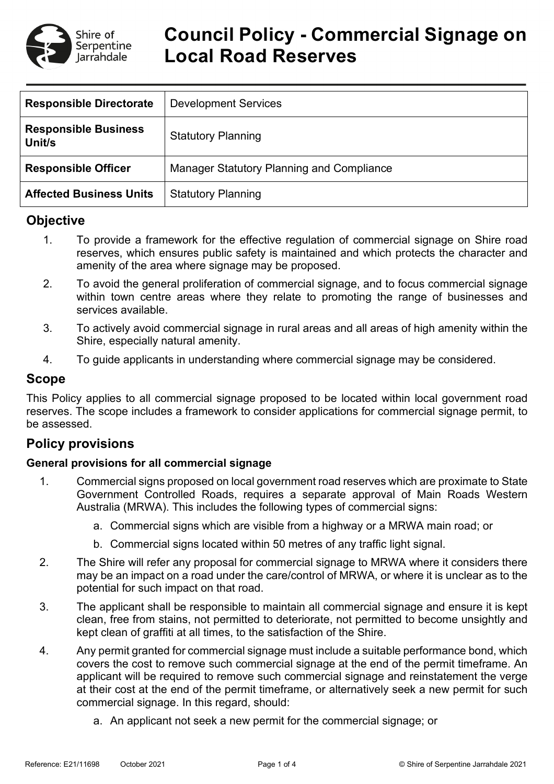

# **Council Policy - Commercial Signage on Local Road Reserves**

| <b>Responsible Directorate</b>        | <b>Development Services</b>               |
|---------------------------------------|-------------------------------------------|
| <b>Responsible Business</b><br>Unit/s | <b>Statutory Planning</b>                 |
| <b>Responsible Officer</b>            | Manager Statutory Planning and Compliance |
| <b>Affected Business Units</b>        | <b>Statutory Planning</b>                 |

## **Objective**

- 1. To provide a framework for the effective regulation of commercial signage on Shire road reserves, which ensures public safety is maintained and which protects the character and amenity of the area where signage may be proposed.
- 2. To avoid the general proliferation of commercial signage, and to focus commercial signage within town centre areas where they relate to promoting the range of businesses and services available.
- 3. To actively avoid commercial signage in rural areas and all areas of high amenity within the Shire, especially natural amenity.
- 4. To guide applicants in understanding where commercial signage may be considered.

## **Scope**

This Policy applies to all commercial signage proposed to be located within local government road reserves. The scope includes a framework to consider applications for commercial signage permit, to be assessed.

## **Policy provisions**

#### **General provisions for all commercial signage**

- 1. Commercial signs proposed on local government road reserves which are proximate to State Government Controlled Roads, requires a separate approval of Main Roads Western Australia (MRWA). This includes the following types of commercial signs:
	- a. Commercial signs which are visible from a highway or a MRWA main road; or
	- b. Commercial signs located within 50 metres of any traffic light signal.
- 2. The Shire will refer any proposal for commercial signage to MRWA where it considers there may be an impact on a road under the care/control of MRWA, or where it is unclear as to the potential for such impact on that road.
- 3. The applicant shall be responsible to maintain all commercial signage and ensure it is kept clean, free from stains, not permitted to deteriorate, not permitted to become unsightly and kept clean of graffiti at all times, to the satisfaction of the Shire.
- 4. Any permit granted for commercial signage must include a suitable performance bond, which covers the cost to remove such commercial signage at the end of the permit timeframe. An applicant will be required to remove such commercial signage and reinstatement the verge at their cost at the end of the permit timeframe, or alternatively seek a new permit for such commercial signage. In this regard, should:
	- a. An applicant not seek a new permit for the commercial signage; or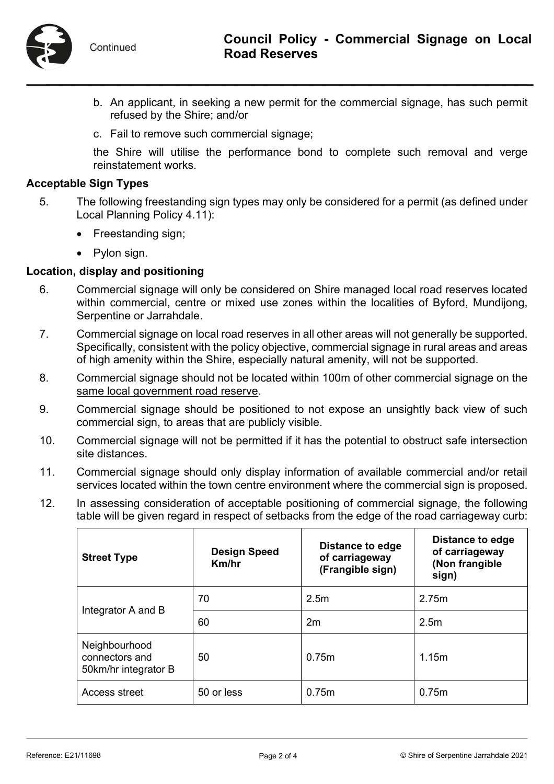

- b. An applicant, in seeking a new permit for the commercial signage, has such permit refused by the Shire; and/or
- c. Fail to remove such commercial signage;

the Shire will utilise the performance bond to complete such removal and verge reinstatement works.

#### **Acceptable Sign Types**

- 5. The following freestanding sign types may only be considered for a permit (as defined under Local Planning Policy 4.11):
	- Freestanding sign;
	- Pylon sign.

#### **Location, display and positioning**

- 6. Commercial signage will only be considered on Shire managed local road reserves located within commercial, centre or mixed use zones within the localities of Byford, Mundijong, Serpentine or Jarrahdale.
- 7. Commercial signage on local road reserves in all other areas will not generally be supported. Specifically, consistent with the policy objective, commercial signage in rural areas and areas of high amenity within the Shire, especially natural amenity, will not be supported.
- 8. Commercial signage should not be located within 100m of other commercial signage on the same local government road reserve.
- 9. Commercial signage should be positioned to not expose an unsightly back view of such commercial sign, to areas that are publicly visible.
- 10. Commercial signage will not be permitted if it has the potential to obstruct safe intersection site distances.
- 11. Commercial signage should only display information of available commercial and/or retail services located within the town centre environment where the commercial sign is proposed.
- 12. In assessing consideration of acceptable positioning of commercial signage, the following table will be given regard in respect of setbacks from the edge of the road carriageway curb:

| <b>Street Type</b>                                      | <b>Design Speed</b><br>Km/hr | Distance to edge<br>of carriageway<br>(Frangible sign) | Distance to edge<br>of carriageway<br>(Non frangible<br>sign) |
|---------------------------------------------------------|------------------------------|--------------------------------------------------------|---------------------------------------------------------------|
| Integrator A and B                                      | 70                           | 2.5 <sub>m</sub>                                       | 2.75m                                                         |
|                                                         | 60                           | 2m                                                     | 2.5m                                                          |
| Neighbourhood<br>connectors and<br>50km/hr integrator B | 50                           | 0.75m                                                  | 1.15m                                                         |
| Access street                                           | 50 or less                   | 0.75m                                                  | 0.75m                                                         |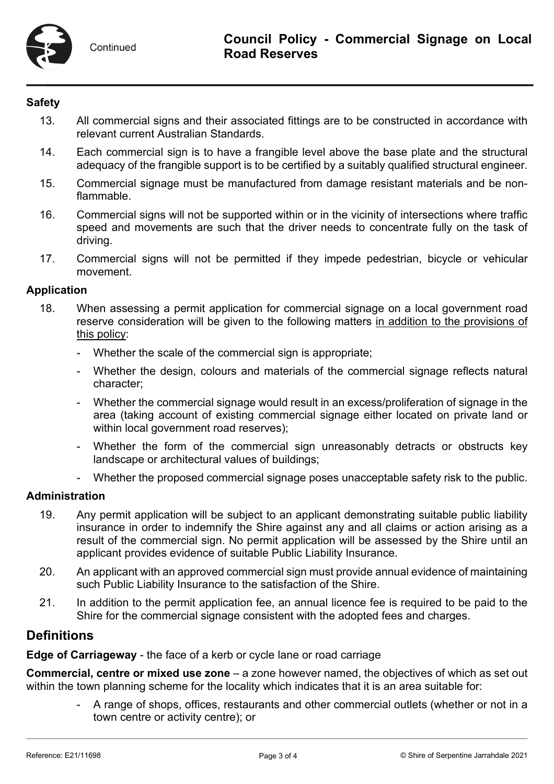### **Safety**

- 13. All commercial signs and their associated fittings are to be constructed in accordance with relevant current Australian Standards.
- 14. Each commercial sign is to have a frangible level above the base plate and the structural adequacy of the frangible support is to be certified by a suitably qualified structural engineer.
- 15. Commercial signage must be manufactured from damage resistant materials and be nonflammable.
- 16. Commercial signs will not be supported within or in the vicinity of intersections where traffic speed and movements are such that the driver needs to concentrate fully on the task of driving.
- 17. Commercial signs will not be permitted if they impede pedestrian, bicycle or vehicular movement.

#### **Application**

- 18. When assessing a permit application for commercial signage on a local government road reserve consideration will be given to the following matters in addition to the provisions of this policy:
	- Whether the scale of the commercial sign is appropriate;
	- Whether the design, colours and materials of the commercial signage reflects natural character;
	- Whether the commercial signage would result in an excess/proliferation of signage in the area (taking account of existing commercial signage either located on private land or within local government road reserves);
	- Whether the form of the commercial sign unreasonably detracts or obstructs key landscape or architectural values of buildings;
	- Whether the proposed commercial signage poses unacceptable safety risk to the public.

### **Administration**

- 19. Any permit application will be subject to an applicant demonstrating suitable public liability insurance in order to indemnify the Shire against any and all claims or action arising as a result of the commercial sign. No permit application will be assessed by the Shire until an applicant provides evidence of suitable Public Liability Insurance.
- 20. An applicant with an approved commercial sign must provide annual evidence of maintaining such Public Liability Insurance to the satisfaction of the Shire.
- 21. In addition to the permit application fee, an annual licence fee is required to be paid to the Shire for the commercial signage consistent with the adopted fees and charges.

# **Definitions**

**Edge of Carriageway** - the face of a kerb or cycle lane or road carriage

**Commercial, centre or mixed use zone** – a zone however named, the objectives of which as set out within the town planning scheme for the locality which indicates that it is an area suitable for:

> - A range of shops, offices, restaurants and other commercial outlets (whether or not in a town centre or activity centre); or